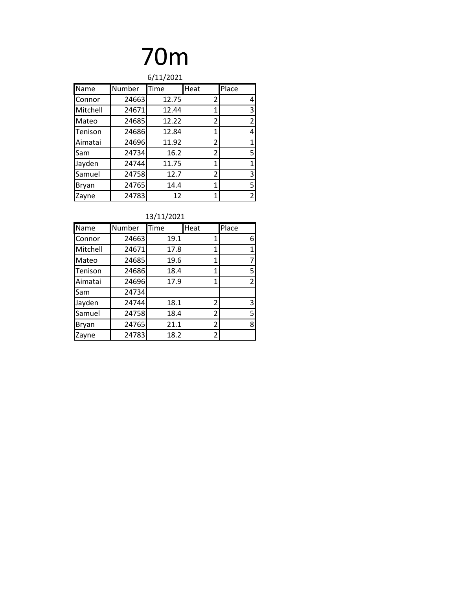| 6/11/2021      |        |       |                |                |  |  |
|----------------|--------|-------|----------------|----------------|--|--|
| Name           | Number | Time  | Heat           | Place          |  |  |
| Connor         | 24663  | 12.75 | 2              | 4              |  |  |
| Mitchell       | 24671  | 12.44 | 1              | 3              |  |  |
| Mateo          | 24685  | 12.22 | 2              | $\overline{2}$ |  |  |
| Tenison        | 24686  | 12.84 | 1              | 4              |  |  |
| <b>Aimatai</b> | 24696  | 11.92 | $\overline{2}$ | 1              |  |  |
| <b>Sam</b>     | 24734  | 16.2  | 2              | 5              |  |  |
| Jayden         | 24744  | 11.75 | 1              | 1              |  |  |
| Samuel         | 24758  | 12.7  | 2              | 3              |  |  |
| <b>Bryan</b>   | 24765  | 14.4  | 1              | 5              |  |  |
| Zayne          | 24783  | 12    | 1              | 2              |  |  |

| Name     | Number | Time | Heat           | Place          |
|----------|--------|------|----------------|----------------|
| Connor   | 24663  | 19.1 | 1              | 6              |
| Mitchell | 24671  | 17.8 | 1              |                |
| Mateo    | 24685  | 19.6 | 1              |                |
| Tenison  | 24686  | 18.4 | 1              | 5              |
| Aimatai  | 24696  | 17.9 | 1              | $\overline{2}$ |
| Sam      | 24734  |      |                |                |
| Jayden   | 24744  | 18.1 | 2              | 3              |
| Samuel   | 24758  | 18.4 | 2              | 5              |
| Bryan    | 24765  | 21.1 | $\overline{2}$ | 8              |
| Zayne    | 24783  | 18.2 | 2              |                |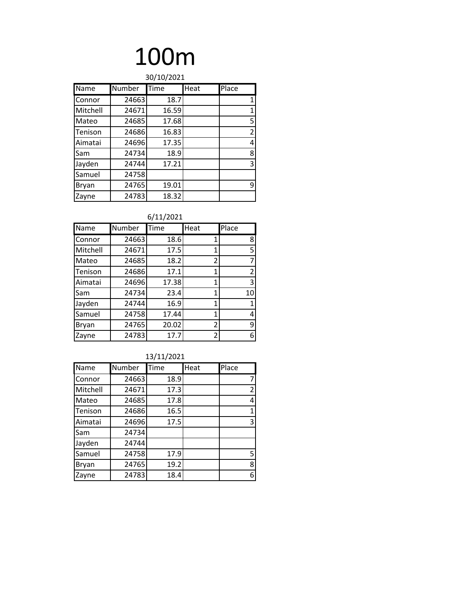|             | 30/10/2021 |       |      |                |  |  |
|-------------|------------|-------|------|----------------|--|--|
| <b>Name</b> | Number     | Time  | Heat | Place          |  |  |
| Connor      | 24663      | 18.7  |      | 1              |  |  |
| Mitchell    | 24671      | 16.59 |      | 1              |  |  |
| Mateo       | 24685      | 17.68 |      | 5              |  |  |
| Tenison     | 24686      | 16.83 |      | $\overline{2}$ |  |  |
| Aimatai     | 24696      | 17.35 |      | 4              |  |  |
| Sam         | 24734      | 18.9  |      | 8              |  |  |
| Jayden      | 24744      | 17.21 |      | 3              |  |  |
| Samuel      | 24758      |       |      |                |  |  |
| Bryan       | 24765      | 19.01 |      | 9              |  |  |
| Zayne       | 24783      | 18.32 |      |                |  |  |

#### 6/11/2021

| Name     | Number | Time  | Heat           | Place |
|----------|--------|-------|----------------|-------|
| Connor   | 24663  | 18.6  | 1              | 8     |
| Mitchell | 24671  | 17.5  | 1              | 5     |
| Mateo    | 24685  | 18.2  | 2              | 7     |
| Tenison  | 24686  | 17.1  | 1              | 2     |
| Aimatai  | 24696  | 17.38 | 1              | 3     |
| Sam      | 24734  | 23.4  | $\mathbf{1}$   | 10    |
| Jayden   | 24744  | 16.9  | 1              | 1     |
| Samuel   | 24758  | 17.44 | 1              | 4     |
| Bryan    | 24765  | 20.02 | $\overline{2}$ | 9     |
| Zayne    | 24783  | 17.7  | 2              | 6     |

| Name     | Number | Time | Heat | Place        |
|----------|--------|------|------|--------------|
| Connor   | 24663  | 18.9 |      | 7            |
| Mitchell | 24671  | 17.3 |      | 2            |
| Mateo    | 24685  | 17.8 |      | 4            |
| Tenison  | 24686  | 16.5 |      | $\mathbf{1}$ |
| Aimatai  | 24696  | 17.5 |      | 3            |
| Sam      | 24734  |      |      |              |
| Jayden   | 24744  |      |      |              |
| Samuel   | 24758  | 17.9 |      | 5            |
| Bryan    | 24765  | 19.2 |      | 8            |
| Zayne    | 24783  | 18.4 |      | 6            |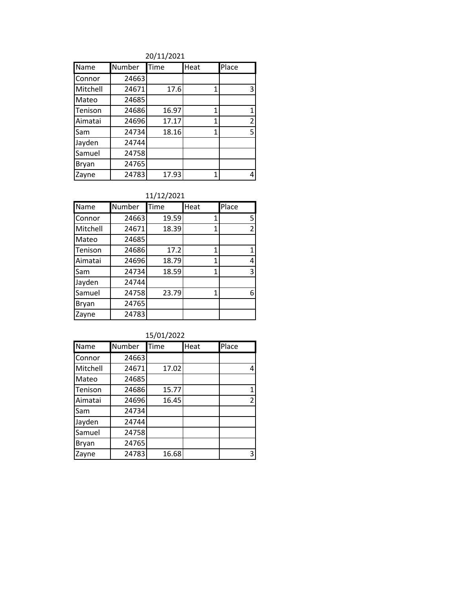20/11/2021

| Name     | Number | Time  | Heat | Place          |
|----------|--------|-------|------|----------------|
| Connor   | 24663  |       |      |                |
| Mitchell | 24671  | 17.6  | 1    | 3              |
| Mateo    | 24685  |       |      |                |
| Tenison  | 24686  | 16.97 | 1    | 1              |
| Aimatai  | 24696  | 17.17 | 1    | $\overline{2}$ |
| Sam      | 24734  | 18.16 | 1    | 5              |
| Jayden   | 24744  |       |      |                |
| Samuel   | 24758  |       |      |                |
| Bryan    | 24765  |       |      |                |
| Zayne    | 24783  | 17.93 | 1    | 4              |

11/12/2021

| Name     | Number | Time  | Heat | Place          |
|----------|--------|-------|------|----------------|
| Connor   | 24663  | 19.59 | 1    | 5              |
| Mitchell | 24671  | 18.39 | 1    | $\overline{2}$ |
| Mateo    | 24685  |       |      |                |
| Tenison  | 24686  | 17.2  | 1    | 1              |
| Aimatai  | 24696  | 18.79 | 1    | 4              |
| Sam      | 24734  | 18.59 | 1    | 3              |
| Jayden   | 24744  |       |      |                |
| Samuel   | 24758  | 23.79 | 1    | 6              |
| Bryan    | 24765  |       |      |                |
| Zayne    | 24783  |       |      |                |

| 15/01/2022 |  |
|------------|--|
|            |  |

| Name     | Number | Time  | Heat | Place          |
|----------|--------|-------|------|----------------|
| Connor   | 24663  |       |      |                |
| Mitchell | 24671  | 17.02 |      | 4              |
| Mateo    | 24685  |       |      |                |
| Tenison  | 24686  | 15.77 |      | 1              |
| Aimatai  | 24696  | 16.45 |      | $\overline{2}$ |
| Sam      | 24734  |       |      |                |
| Jayden   | 24744  |       |      |                |
| Samuel   | 24758  |       |      |                |
| Bryan    | 24765  |       |      |                |
| Zayne    | 24783  | 16.68 |      | 3              |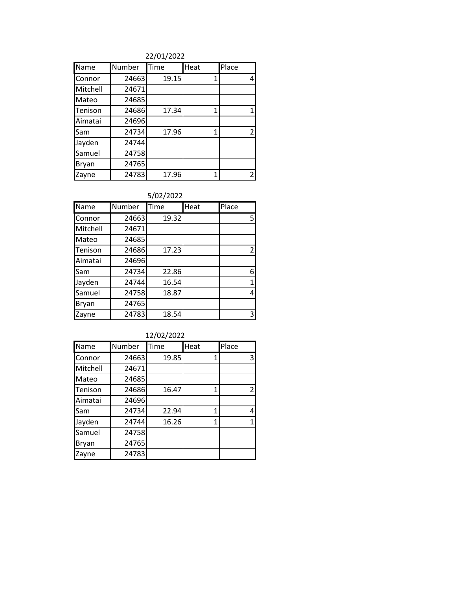22/01/2022

| Name     | Number | Time  | Heat | Place          |
|----------|--------|-------|------|----------------|
| Connor   | 24663  | 19.15 | 1    | 4              |
| Mitchell | 24671  |       |      |                |
| Mateo    | 24685  |       |      |                |
| Tenison  | 24686  | 17.34 | 1    | 1              |
| Aimatai  | 24696  |       |      |                |
| Sam      | 24734  | 17.96 | 1    | $\overline{2}$ |
| Jayden   | 24744  |       |      |                |
| Samuel   | 24758  |       |      |                |
| Bryan    | 24765  |       |      |                |
| Zayne    | 24783  | 17.96 | 1    | $\overline{2}$ |

| Name     | Number | Time  | Heat | Place          |
|----------|--------|-------|------|----------------|
| Connor   | 24663  | 19.32 |      | 5              |
| Mitchell | 24671  |       |      |                |
| Mateo    | 24685  |       |      |                |
| Tenison  | 24686  | 17.23 |      | $\overline{2}$ |
| Aimatai  | 24696  |       |      |                |
| Sam      | 24734  | 22.86 |      | 6              |
| Jayden   | 24744  | 16.54 |      | 1              |
| Samuel   | 24758  | 18.87 |      | 4              |
| Bryan    | 24765  |       |      |                |
| Zavne    | 24783  | 18.54 |      | 3              |

| 12/02/2022 |  |  |  |
|------------|--|--|--|
|            |  |  |  |

| Name         | Number | Time  | Heat | Place          |
|--------------|--------|-------|------|----------------|
| Connor       | 24663  | 19.85 | 1    | 3              |
| Mitchell     | 24671  |       |      |                |
| Mateo        | 24685  |       |      |                |
| Tenison      | 24686  | 16.47 | 1    | $\overline{2}$ |
| Aimatai      | 24696  |       |      |                |
| Sam          | 24734  | 22.94 | 1    | 4              |
| Jayden       | 24744  | 16.26 | 1    | $\mathbf{1}$   |
| Samuel       | 24758  |       |      |                |
| <b>Bryan</b> | 24765  |       |      |                |
| Zayne        | 24783  |       |      |                |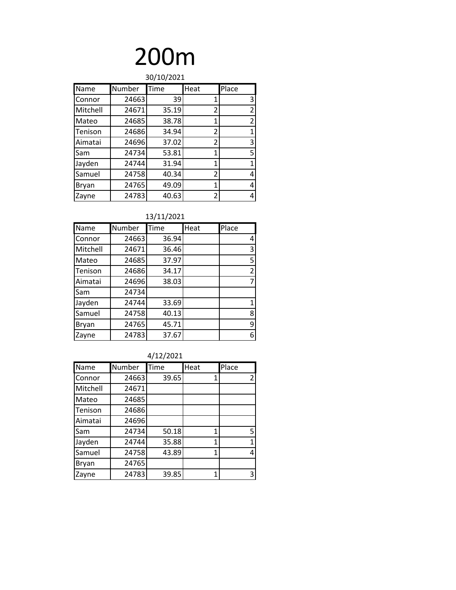| 30/10/2021     |        |       |                |                |  |
|----------------|--------|-------|----------------|----------------|--|
| Name           | Number | Time  | Heat           | Place          |  |
| Connor         | 24663  | 39    | 1              | 3              |  |
| Mitchell       | 24671  | 35.19 | $\overline{2}$ | $\overline{2}$ |  |
| Mateo          | 24685  | 38.78 | 1              | $\overline{2}$ |  |
| Tenison        | 24686  | 34.94 | 2              | 1              |  |
| <b>Aimatai</b> | 24696  | 37.02 | $\overline{2}$ | 3              |  |
| <b>Sam</b>     | 24734  | 53.81 | 1              | 5              |  |
| Jayden         | 24744  | 31.94 | 1              | 1              |  |
| Samuel         | 24758  | 40.34 | $\overline{2}$ | 4              |  |
| <b>Bryan</b>   | 24765  | 49.09 | 1              | 4              |  |
| Zayne          | 24783  | 40.63 | 2              | 4              |  |

#### 13/11/2021

| Name     | Number | Time  | Heat | Place          |
|----------|--------|-------|------|----------------|
| Connor   | 24663  | 36.94 |      | 4              |
| Mitchell | 24671  | 36.46 |      | 3              |
| Mateo    | 24685  | 37.97 |      | 5              |
| Tenison  | 24686  | 34.17 |      | $\overline{2}$ |
| Aimatai  | 24696  | 38.03 |      | 7              |
| Sam      | 24734  |       |      |                |
| Jayden   | 24744  | 33.69 |      | 1              |
| Samuel   | 24758  | 40.13 |      | 8              |
| Bryan    | 24765  | 45.71 |      | 9              |
| Zayne    | 24783  | 37.67 |      | 6              |

#### 4/12/2021

| Name     | Number | Time  | Heat | Place |
|----------|--------|-------|------|-------|
| Connor   | 24663  | 39.65 | 1    | 2     |
| Mitchell | 24671  |       |      |       |
| Mateo    | 24685  |       |      |       |
| Tenison  | 24686  |       |      |       |
| Aimatai  | 24696  |       |      |       |
| Sam      | 24734  | 50.18 | 1    | 5     |
| Jayden   | 24744  | 35.88 | 1    | 1     |
| Samuel   | 24758  | 43.89 | 1    | 4     |
| Bryan    | 24765  |       |      |       |
| Zayne    | 24783  | 39.85 | 1    | 3     |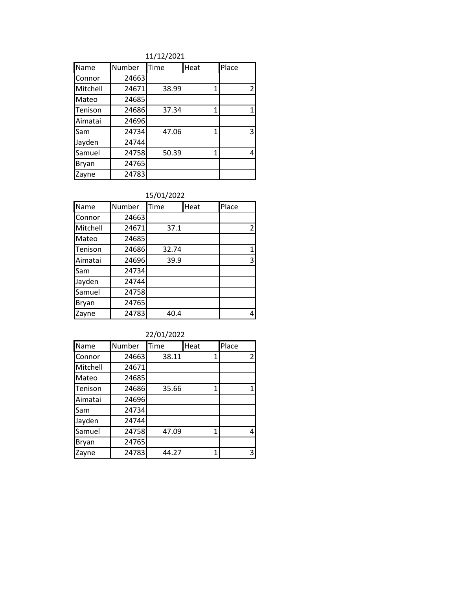11/12/2021

| Name     | Number | Time  | Heat | Place          |
|----------|--------|-------|------|----------------|
| Connor   | 24663  |       |      |                |
| Mitchell | 24671  | 38.99 | 1    | $\overline{2}$ |
| Mateo    | 24685  |       |      |                |
| Tenison  | 24686  | 37.34 | 1    |                |
| Aimatai  | 24696  |       |      |                |
| Sam      | 24734  | 47.06 | 1    | 3              |
| Jayden   | 24744  |       |      |                |
| Samuel   | 24758  | 50.39 | 1    | 4              |
| Bryan    | 24765  |       |      |                |
| Zayne    | 24783  |       |      |                |

| Name     | Number | Time  | Heat | Place |
|----------|--------|-------|------|-------|
| Connor   | 24663  |       |      |       |
| Mitchell | 24671  | 37.1  |      | 2     |
| Mateo    | 24685  |       |      |       |
| Tenison  | 24686  | 32.74 |      |       |
| Aimatai  | 24696  | 39.9  |      | 3     |
| Sam      | 24734  |       |      |       |
| Jayden   | 24744  |       |      |       |
| Samuel   | 24758  |       |      |       |
| Bryan    | 24765  |       |      |       |
| Zayne    | 24783  | 40.4  |      |       |

| 22/01/2022 |        |       |      |                |
|------------|--------|-------|------|----------------|
| Name       | Number | Time  | Heat | Place          |
| Connor     | 24663  | 38.11 | 1    | $\overline{2}$ |
| Mitchell   | 24671  |       |      |                |
| Mateo      | 24685  |       |      |                |
| Tenison    | 24686  | 35.66 | 1    | 1              |
| Aimatai    | 24696  |       |      |                |
| Sam        | 24734  |       |      |                |
| Jayden     | 24744  |       |      |                |
| Samuel     | 24758  | 47.09 | 1    | 4              |
| Bryan      | 24765  |       |      |                |
| Zayne      | 24783  | 44.27 | 1    | 3              |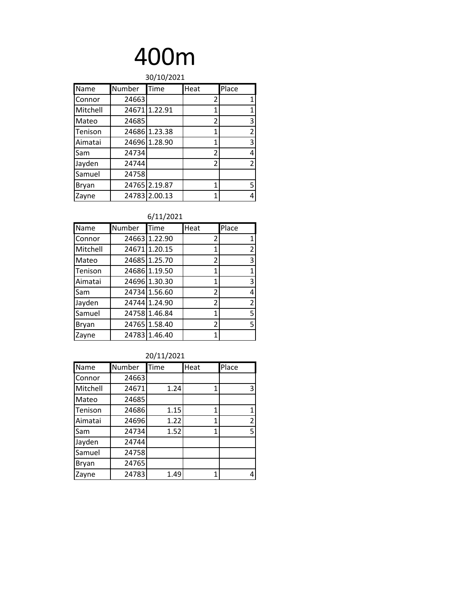| 30/10/2021 |        |               |                |                |
|------------|--------|---------------|----------------|----------------|
| Name       | Number | Time          | Heat           | Place          |
| Connor     | 24663  |               | 2              | 1              |
| Mitchell   |        | 24671 1.22.91 | 1              | 1              |
| Mateo      | 24685  |               | $\overline{2}$ | 3              |
| Tenison    |        | 24686 1.23.38 | 1              | $\overline{2}$ |
| Aimatai    |        | 24696 1.28.90 | 1              | 3              |
| Sam        | 24734  |               | 2              | 4              |
| Jayden     | 24744  |               | $\overline{2}$ | 2              |
| Samuel     | 24758  |               |                |                |
| Bryan      |        | 24765 2.19.87 | 1              | 5              |
| Zayne      |        | 24783 2.00.13 | 1              | 4              |

#### 6/11/2021

| Name         | Number | Time          | Heat           | Place          |
|--------------|--------|---------------|----------------|----------------|
| Connor       |        | 24663 1.22.90 | 2              | 1              |
| Mitchell     |        | 24671 1.20.15 | 1              | $\overline{2}$ |
| Mateo        |        | 24685 1.25.70 | 2              | 3              |
| Tenison      |        | 24686 1.19.50 | 1              | 1              |
| Aimatai      |        | 24696 1.30.30 | 1              | 3              |
| Sam          |        | 24734 1.56.60 | 2              | 4              |
| Jayden       |        | 24744 1.24.90 | 2              | $\overline{2}$ |
| Samuel       |        | 24758 1.46.84 | 1              | 5              |
| <b>Bryan</b> |        | 24765 1.58.40 | $\overline{2}$ | 5              |
| Zayne        |        | 24783 1.46.40 | 1              |                |

| Name     | Number | Time | Heat | Place          |
|----------|--------|------|------|----------------|
| Connor   | 24663  |      |      |                |
| Mitchell | 24671  | 1.24 | 1    | 3              |
| Mateo    | 24685  |      |      |                |
| Tenison  | 24686  | 1.15 | 1    | 1              |
| Aimatai  | 24696  | 1.22 | 1    | $\overline{2}$ |
| Sam      | 24734  | 1.52 | 1    | 5              |
| Jayden   | 24744  |      |      |                |
| Samuel   | 24758  |      |      |                |
| Bryan    | 24765  |      |      |                |
| Zayne    | 24783  | 1.49 | 1    | 4              |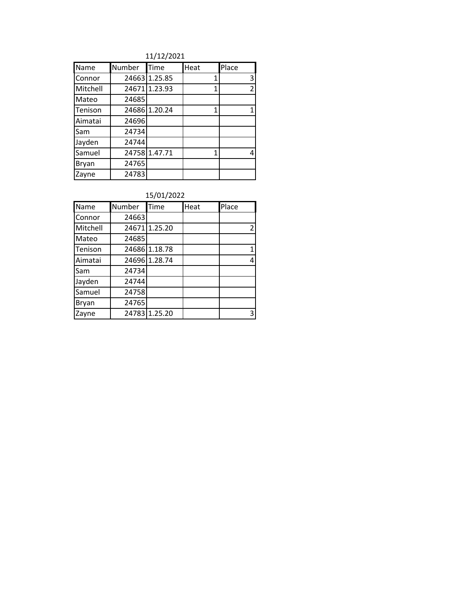11/12/2021

| Name     | Number | Time          | Heat | Place |
|----------|--------|---------------|------|-------|
| Connor   |        | 24663 1.25.85 | 1    | 3     |
| Mitchell |        | 24671 1.23.93 | 1    | 2     |
| Mateo    | 24685  |               |      |       |
| Tenison  |        | 24686 1.20.24 | 1    | 1     |
| Aimatai  | 24696  |               |      |       |
| Sam      | 24734  |               |      |       |
| Jayden   | 24744  |               |      |       |
| Samuel   |        | 24758 1.47.71 | 1    | 4     |
| Bryan    | 24765  |               |      |       |
| Zavne    | 24783  |               |      |       |

| Name     | Number | Time          | Heat | Place |
|----------|--------|---------------|------|-------|
| Connor   | 24663  |               |      |       |
| Mitchell |        | 24671 1.25.20 |      | 2     |
| Mateo    | 24685  |               |      |       |
| Tenison  |        | 24686 1.18.78 |      | 1     |
| Aimatai  |        | 24696 1.28.74 |      | 4     |
| Sam      | 24734  |               |      |       |
| Jayden   | 24744  |               |      |       |
| Samuel   | 24758  |               |      |       |
| Bryan    | 24765  |               |      |       |
| Zayne    |        | 24783 1.25.20 |      | 3     |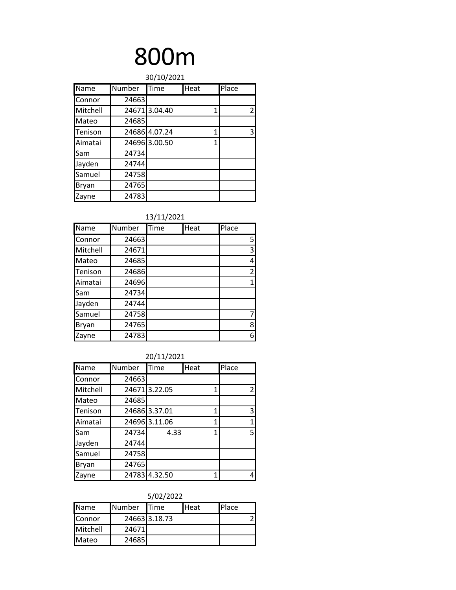| 30/10/2021 |        |               |      |                |  |  |  |
|------------|--------|---------------|------|----------------|--|--|--|
| Name       | Number | Time          | Heat | Place          |  |  |  |
| Connor     | 24663  |               |      |                |  |  |  |
| Mitchell   |        | 24671 3.04.40 | 1    | $\overline{2}$ |  |  |  |
| Mateo      | 24685  |               |      |                |  |  |  |
| Tenison    |        | 24686 4.07.24 | 1    | 3              |  |  |  |
| Aimatai    |        | 24696 3.00.50 | 1    |                |  |  |  |
| Sam        | 24734  |               |      |                |  |  |  |
| Jayden     | 24744  |               |      |                |  |  |  |
| Samuel     | 24758  |               |      |                |  |  |  |
| Bryan      | 24765  |               |      |                |  |  |  |
| Zayne      | 24783  |               |      |                |  |  |  |

#### 13/11/2021

| Name         | Number | Time | Heat | Place          |
|--------------|--------|------|------|----------------|
| Connor       | 24663  |      |      | 5              |
| Mitchell     | 24671  |      |      | 3              |
| Mateo        | 24685  |      |      | 4              |
| Tenison      | 24686  |      |      | $\overline{2}$ |
| Aimatai      | 24696  |      |      |                |
| Sam          | 24734  |      |      |                |
| Jayden       | 24744  |      |      |                |
| Samuel       | 24758  |      |      |                |
| <b>Bryan</b> | 24765  |      |      | 8              |
| Zayne        | 24783  |      |      | 6              |

#### 20/11/2021

| Name     | Number | Time          | Heat | Place |
|----------|--------|---------------|------|-------|
| Connor   | 24663  |               |      |       |
| Mitchell |        | 24671 3.22.05 | 1    | 2     |
| Mateo    | 24685  |               |      |       |
| Tenison  |        | 24686 3.37.01 | 1    | 3     |
| Aimatai  |        | 24696 3.11.06 | 1    | 1     |
| Sam      | 24734  | 4.33          | 1    | 5     |
| Jayden   | 24744  |               |      |       |
| Samuel   | 24758  |               |      |       |
| Bryan    | 24765  |               |      |       |
| Zayne    |        | 24783 4.32.50 | 1    |       |

| <b>Name</b>   | <b>Number</b> | <b>I</b> Time | <b>Heat</b> | Place |
|---------------|---------------|---------------|-------------|-------|
| <b>Connor</b> |               | 24663 3.18.73 |             |       |
| Mitchell      | 24671         |               |             |       |
| <b>Mateo</b>  | 24685         |               |             |       |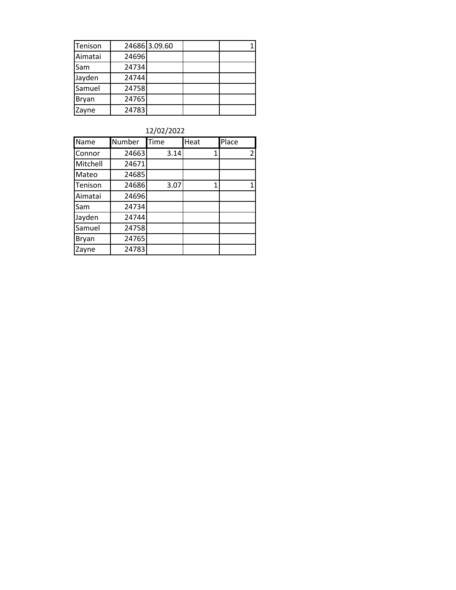| Tenison      |       | 24686 3.09.60 |  |
|--------------|-------|---------------|--|
| Aimatai      | 24696 |               |  |
| Sam          | 24734 |               |  |
| Jayden       | 24744 |               |  |
| Samuel       | 24758 |               |  |
| <b>Bryan</b> | 24765 |               |  |
| Zayne        | 24783 |               |  |

| 12/02/2022 |  |  |  |
|------------|--|--|--|
|------------|--|--|--|

| Name         | <b>Number</b> | Time | Heat | Place |
|--------------|---------------|------|------|-------|
| Connor       | 24663         | 3.14 | 1    | 2     |
| Mitchell     | 24671         |      |      |       |
| Mateo        | 24685         |      |      |       |
| Tenison      | 24686         | 3.07 | 1    | 1     |
| Aimatai      | 24696         |      |      |       |
| Sam          | 24734         |      |      |       |
| Jayden       | 24744         |      |      |       |
| Samuel       | 24758         |      |      |       |
| <b>Bryan</b> | 24765         |      |      |       |
| Zayne        | 24783         |      |      |       |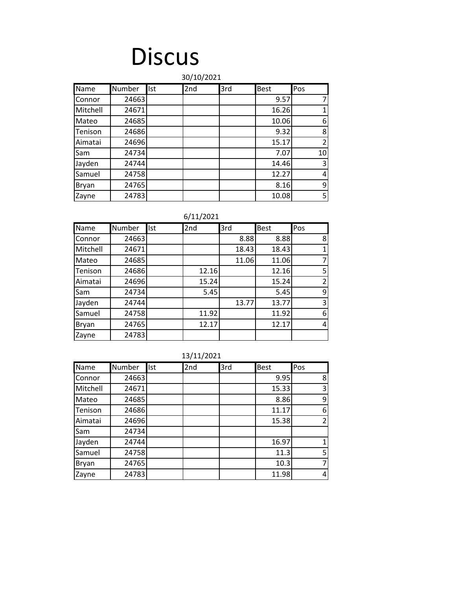### **Discus**

#### Name Number Ist 2nd 3rd Best Pos Connor 24663 (2015) 24663 (2016) 24663 (2016) 2016 (2017) 2 Mitchell | 24671 | | | 16.26 | 1 Mateo | 24685 | | | | 10.06 | 6 Tenison 24686 9.32 8 Aimatai | 24696 | | | | 15.17 | 2 Sam | 24734 | | | | | 7.07 | 10 Jayden | 24744 | | | | 14.46 | 3 Samuel 24758 12.27 12.27 12.27 Bryan | 24765 | | | | 8.16 | 9 Zayne 24783 10.08 5 30/10/2021

| Name     | Number | Ist | 2nd   | 3rd   | Best  | Pos            |
|----------|--------|-----|-------|-------|-------|----------------|
| Connor   | 24663  |     |       | 8.88  | 8.88  | 8              |
| Mitchell | 24671  |     |       | 18.43 | 18.43 |                |
| Mateo    | 24685  |     |       | 11.06 | 11.06 |                |
| Tenison  | 24686  |     | 12.16 |       | 12.16 | 5              |
| Aimatai  | 24696  |     | 15.24 |       | 15.24 | $\mathfrak{p}$ |
| Sam      | 24734  |     | 5.45  |       | 5.45  | 9              |
| Jayden   | 24744  |     |       | 13.77 | 13.77 | 3              |
| Samuel   | 24758  |     | 11.92 |       | 11.92 | 6              |
| Bryan    | 24765  |     | 12.17 |       | 12.17 | 4              |
| Zayne    | 24783  |     |       |       |       |                |

|  |  | 13/11/2021 |
|--|--|------------|
|--|--|------------|

| Name     | <b>Number</b> | Ist | 2nd | 3rd | <b>Best</b> | Pos            |
|----------|---------------|-----|-----|-----|-------------|----------------|
| Connor   | 24663         |     |     |     | 9.95        | 8              |
| Mitchell | 24671         |     |     |     | 15.33       | 3              |
| Mateo    | 24685         |     |     |     | 8.86        | 9              |
| Tenison  | 24686         |     |     |     | 11.17       | 6              |
| Aimatai  | 24696         |     |     |     | 15.38       | $\overline{2}$ |
| Sam      | 24734         |     |     |     |             |                |
| Jayden   | 24744         |     |     |     | 16.97       | 1              |
| Samuel   | 24758         |     |     |     | 11.3        | 5              |
| Bryan    | 24765         |     |     |     | 10.3        | $\overline{7}$ |
| Zayne    | 24783         |     |     |     | 11.98       | 4              |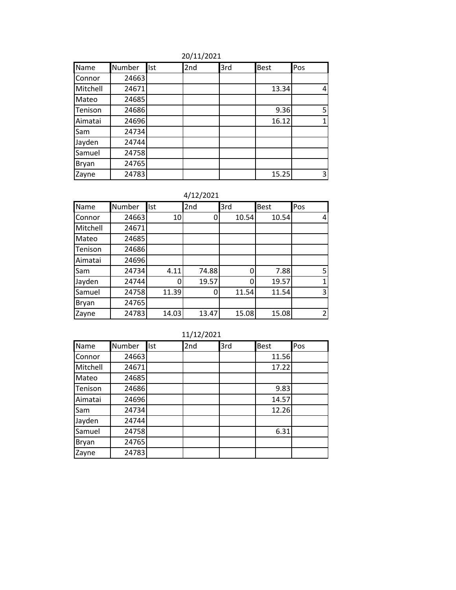| Name     | Number | Ist | 2nd | 3rd | <b>Best</b> | Pos             |
|----------|--------|-----|-----|-----|-------------|-----------------|
| Connor   | 24663  |     |     |     |             |                 |
| Mitchell | 24671  |     |     |     | 13.34       | 4               |
| Mateo    | 24685  |     |     |     |             |                 |
| Tenison  | 24686  |     |     |     | 9.36        | 5 <sup>1</sup>  |
| Aimatai  | 24696  |     |     |     | 16.12       | $1\overline{ }$ |
| Sam      | 24734  |     |     |     |             |                 |
| Jayden   | 24744  |     |     |     |             |                 |
| Samuel   | 24758  |     |     |     |             |                 |
| Bryan    | 24765  |     |     |     |             |                 |
| Zayne    | 24783  |     |     |     | 15.25       | 3               |

4/12/2021

| Name     | Number | Ist   | 2nd   | 3rd   | <b>Best</b> | Pos |
|----------|--------|-------|-------|-------|-------------|-----|
| Connor   | 24663  | 10    |       | 10.54 | 10.54       | 4   |
| Mitchell | 24671  |       |       |       |             |     |
| Mateo    | 24685  |       |       |       |             |     |
| Tenison  | 24686  |       |       |       |             |     |
| Aimatai  | 24696  |       |       |       |             |     |
| Sam      | 24734  | 4.11  | 74.88 | 0     | 7.88        | 5   |
| Jayden   | 24744  |       | 19.57 | 0     | 19.57       |     |
| Samuel   | 24758  | 11.39 | 0     | 11.54 | 11.54       | 3   |
| Bryan    | 24765  |       |       |       |             |     |
| Zayne    | 24783  | 14.03 | 13.47 | 15.08 | 15.08       | 2   |

| Name     | Number | Ist | 2nd | 3rd | <b>Best</b> | Pos |
|----------|--------|-----|-----|-----|-------------|-----|
| Connor   | 24663  |     |     |     | 11.56       |     |
| Mitchell | 24671  |     |     |     | 17.22       |     |
| Mateo    | 24685  |     |     |     |             |     |
| Tenison  | 24686  |     |     |     | 9.83        |     |
| Aimatai  | 24696  |     |     |     | 14.57       |     |
| Sam      | 24734  |     |     |     | 12.26       |     |
| Jayden   | 24744  |     |     |     |             |     |
| Samuel   | 24758  |     |     |     | 6.31        |     |
| Bryan    | 24765  |     |     |     |             |     |
| Zayne    | 24783  |     |     |     |             |     |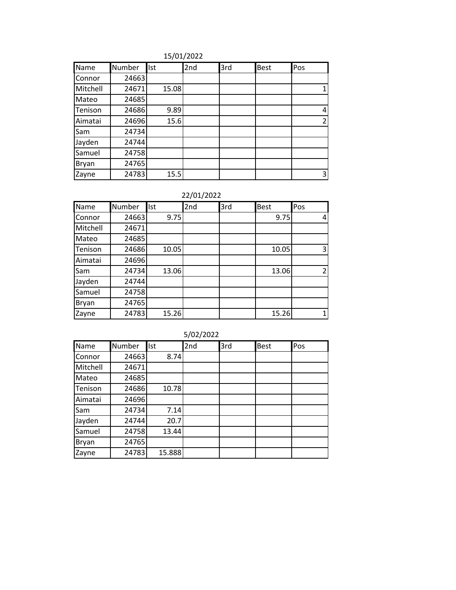| Name     | Number | Ist   | 2nd | 3rd | <b>Best</b> | Pos            |
|----------|--------|-------|-----|-----|-------------|----------------|
| Connor   | 24663  |       |     |     |             |                |
| Mitchell | 24671  | 15.08 |     |     |             |                |
| Mateo    | 24685  |       |     |     |             |                |
| Tenison  | 24686  | 9.89  |     |     |             | 4              |
| Aimatai  | 24696  | 15.6  |     |     |             | $\overline{2}$ |
| Sam      | 24734  |       |     |     |             |                |
| Jayden   | 24744  |       |     |     |             |                |
| Samuel   | 24758  |       |     |     |             |                |
| Bryan    | 24765  |       |     |     |             |                |
| Zayne    | 24783  | 15.5  |     |     |             | 3              |

#### 22/01/2022

| Name     | Number | Ist   | 2nd | 3rd | <b>Best</b> | Pos            |
|----------|--------|-------|-----|-----|-------------|----------------|
| Connor   | 24663  | 9.75  |     |     | 9.75        | 4              |
| Mitchell | 24671  |       |     |     |             |                |
| Mateo    | 24685  |       |     |     |             |                |
| Tenison  | 24686  | 10.05 |     |     | 10.05       | 3              |
| Aimatai  | 24696  |       |     |     |             |                |
| Sam      | 24734  | 13.06 |     |     | 13.06       | $\mathfrak{p}$ |
| Jayden   | 24744  |       |     |     |             |                |
| Samuel   | 24758  |       |     |     |             |                |
| Bryan    | 24765  |       |     |     |             |                |
| Zayne    | 24783  | 15.26 |     |     | 15.26       |                |

| 5/02/2022 |        |        |     |     |             |     |  |  |  |  |
|-----------|--------|--------|-----|-----|-------------|-----|--|--|--|--|
| Name      | Number | llst   | 2nd | 3rd | <b>Best</b> | Pos |  |  |  |  |
| Connor    | 24663  | 8.74   |     |     |             |     |  |  |  |  |
| Mitchell  | 24671  |        |     |     |             |     |  |  |  |  |
| Mateo     | 24685  |        |     |     |             |     |  |  |  |  |
| Tenison   | 24686  | 10.78  |     |     |             |     |  |  |  |  |
| Aimatai   | 24696  |        |     |     |             |     |  |  |  |  |
| Sam       | 24734  | 7.14   |     |     |             |     |  |  |  |  |
| Jayden    | 24744  | 20.7   |     |     |             |     |  |  |  |  |
| Samuel    | 24758  | 13.44  |     |     |             |     |  |  |  |  |
| Bryan     | 24765  |        |     |     |             |     |  |  |  |  |
| Zayne     | 24783  | 15.888 |     |     |             |     |  |  |  |  |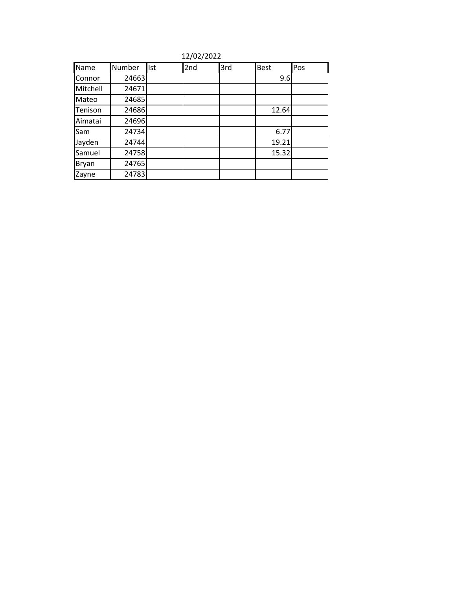12/02/2022

| Name     | Number | Ist | 2nd | 3rd | <b>Best</b> | Pos |
|----------|--------|-----|-----|-----|-------------|-----|
| Connor   | 24663  |     |     |     | 9.6         |     |
| Mitchell | 24671  |     |     |     |             |     |
| Mateo    | 24685  |     |     |     |             |     |
| Tenison  | 24686  |     |     |     | 12.64       |     |
| Aimatai  | 24696  |     |     |     |             |     |
| Sam      | 24734  |     |     |     | 6.77        |     |
| Jayden   | 24744  |     |     |     | 19.21       |     |
| Samuel   | 24758  |     |     |     | 15.32       |     |
| Bryan    | 24765  |     |     |     |             |     |
| Zayne    | 24783  |     |     |     |             |     |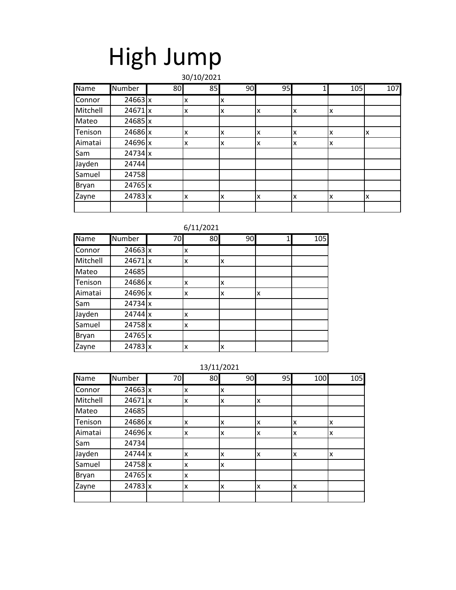# High Jump

30/10/2021

| Name     | Number         | 80 | 85 | 90 | 95 |    | 105 | 107 |
|----------|----------------|----|----|----|----|----|-----|-----|
| Connor   | $24663 \times$ |    | X  | X  |    |    |     |     |
| Mitchell | 24671x         |    | x  | X  | X  | lχ | x   |     |
| Mateo    | $24685$ x      |    |    |    |    |    |     |     |
| Tenison  | $24686$ x      |    | x  | X  | X  | lχ | x   | X   |
| Aimatai  | $24696$ x      |    | X  | x  | x  | lχ | x   |     |
| Sam      | $24734$ x      |    |    |    |    |    |     |     |
| Jayden   | 24744          |    |    |    |    |    |     |     |
| Samuel   | 24758          |    |    |    |    |    |     |     |
| Bryan    | $24765$ x      |    |    |    |    |    |     |     |
| Zayne    | 24783 x        |    | X  | X  | X  | lχ | x   | X   |
|          |                |    |    |    |    |    |     |     |

#### 6/11/2021

| Name     | Number         | 70 | 80 | 90 |   | 105 |
|----------|----------------|----|----|----|---|-----|
| Connor   | $24663 \times$ |    | X  |    |   |     |
| Mitchell | $24671$ x      |    | x  | x  |   |     |
| Mateo    | 24685          |    |    |    |   |     |
| Tenison  | 24686 x        |    | x  | x  |   |     |
| Aimatai  | 24696 x        |    | x  | x  | X |     |
| Sam      | $24734$ x      |    |    |    |   |     |
| Jayden   | $24744$ x      |    | X  |    |   |     |
| Samuel   | 24758 x        |    | x  |    |   |     |
| Bryan    | 24765 x        |    |    |    |   |     |
| Zayne    | $24783 \times$ |    | x  | x  |   |     |

| $-1 - 1 - 1$ |                |    |    |    |    |     |     |  |  |  |  |
|--------------|----------------|----|----|----|----|-----|-----|--|--|--|--|
| Name         | Number         | 70 | 80 | 90 | 95 | 100 | 105 |  |  |  |  |
| Connor       | $24663 \times$ |    | x  | x  |    |     |     |  |  |  |  |
| Mitchell     | 24671x         |    | x  | x  | x  |     |     |  |  |  |  |
| Mateo        | 24685          |    |    |    |    |     |     |  |  |  |  |
| Tenison      | 24686 x        |    | X  | x  | X  | Ιx  | x   |  |  |  |  |
| Aimatai      | 24696 x        |    | X  | x  | x  | x   | X   |  |  |  |  |
| Sam          | 24734          |    |    |    |    |     |     |  |  |  |  |
| Jayden       | 24744 x        |    | x  | X  | X  | Ιx  | X   |  |  |  |  |
| Samuel       | 24758 x        |    | X  | X  |    |     |     |  |  |  |  |
| Bryan        | 24765 x        |    | X  |    |    |     |     |  |  |  |  |
| Zayne        | $24783 \times$ |    | X  | X  | X  | lχ  |     |  |  |  |  |
|              |                |    |    |    |    |     |     |  |  |  |  |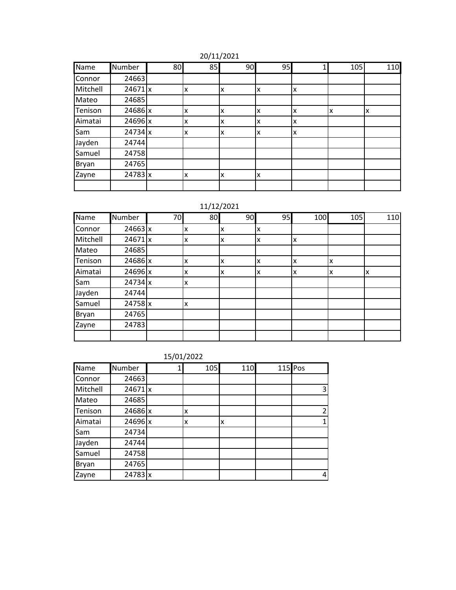#### 20/11/2021

| Name         | Number         | 80 | 85 | 90 | 95 |    | 105 | 110 |
|--------------|----------------|----|----|----|----|----|-----|-----|
| Connor       | 24663          |    |    |    |    |    |     |     |
| Mitchell     | 24671x         |    | x  | x  | x  | Iχ |     |     |
| Mateo        | 24685          |    |    |    |    |    |     |     |
| Tenison      | 24686 x        |    | x  | X  | x  | lχ | x   | x   |
| Aimatai      | $24696$ x      |    | x  | X  | X  | Ιx |     |     |
| Sam          | $24734$ x      |    | x  | x  | X  | lχ |     |     |
| Jayden       | 24744          |    |    |    |    |    |     |     |
| Samuel       | 24758          |    |    |    |    |    |     |     |
| <b>Bryan</b> | 24765          |    |    |    |    |    |     |     |
| Zayne        | $24783 \times$ |    | x  | ΙX | X  |    |     |     |
|              |                |    |    |    |    |    |     |     |

#### 11/12/2021

| Name     | Number         | 70 | 80 | 90 | 95 | 100 | 105 | 110 |
|----------|----------------|----|----|----|----|-----|-----|-----|
| Connor   | $24663 \times$ |    | X  | X  | x  |     |     |     |
| Mitchell | 24671x         |    | X  | x  | x  | x   |     |     |
| Mateo    | 24685          |    |    |    |    |     |     |     |
| Tenison  | 24686 x        |    | x  | x  | x  | x   | X   |     |
| Aimatai  | $24696$ x      |    | x  | x  | x  | x   | X   | X   |
| Sam      | $24734$ x      |    | X  |    |    |     |     |     |
| Jayden   | 24744          |    |    |    |    |     |     |     |
| Samuel   | $24758$ x      |    | X  |    |    |     |     |     |
| Bryan    | 24765          |    |    |    |    |     |     |     |
| Zayne    | 24783          |    |    |    |    |     |     |     |
|          |                |    |    |    |    |     |     |     |

| Name     | Number  | 105 |   | 110 | $115$ Pos      |
|----------|---------|-----|---|-----|----------------|
| Connor   | 24663   |     |   |     |                |
| Mitchell | 24671x  |     |   |     | 3              |
| Mateo    | 24685   |     |   |     |                |
| Tenison  | 24686 x | x   |   |     | $\overline{2}$ |
| Aimatai  | 24696 x | X   | x |     | $\mathbf{1}$   |
| Sam      | 24734   |     |   |     |                |
| Jayden   | 24744   |     |   |     |                |
| Samuel   | 24758   |     |   |     |                |
| Bryan    | 24765   |     |   |     |                |
| Zayne    | 24783 x |     |   |     | 4              |

|  | 15/01/2022 |
|--|------------|
|  |            |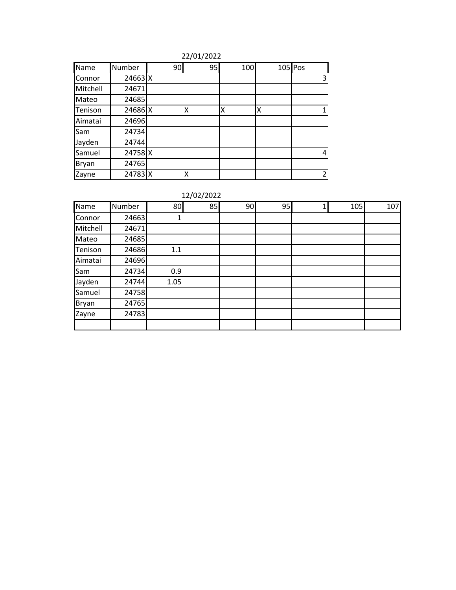| Name     | Number  | 90 | 95 | 100 |   | 105 Pos |
|----------|---------|----|----|-----|---|---------|
| Connor   | 24663 X |    |    |     |   | 3       |
| Mitchell | 24671   |    |    |     |   |         |
| Mateo    | 24685   |    |    |     |   |         |
| Tenison  | 24686 X |    | Χ  | Χ   | Χ |         |
| Aimatai  | 24696   |    |    |     |   |         |
| Sam      | 24734   |    |    |     |   |         |
| Jayden   | 24744   |    |    |     |   |         |
| Samuel   | 24758 X |    |    |     |   | 4       |
| Bryan    | 24765   |    |    |     |   |         |
| Zayne    | 24783 X |    |    |     |   | 2       |

| Name         | Number | 80   | 85 | 90 | 95 | 105 | 107 |
|--------------|--------|------|----|----|----|-----|-----|
| Connor       | 24663  |      |    |    |    |     |     |
| Mitchell     | 24671  |      |    |    |    |     |     |
| Mateo        | 24685  |      |    |    |    |     |     |
| Tenison      | 24686  | 1.1  |    |    |    |     |     |
| Aimatai      | 24696  |      |    |    |    |     |     |
| Sam          | 24734  | 0.9  |    |    |    |     |     |
| Jayden       | 24744  | 1.05 |    |    |    |     |     |
| Samuel       | 24758  |      |    |    |    |     |     |
| <b>Bryan</b> | 24765  |      |    |    |    |     |     |
| Zayne        | 24783  |      |    |    |    |     |     |
|              |        |      |    |    |    |     |     |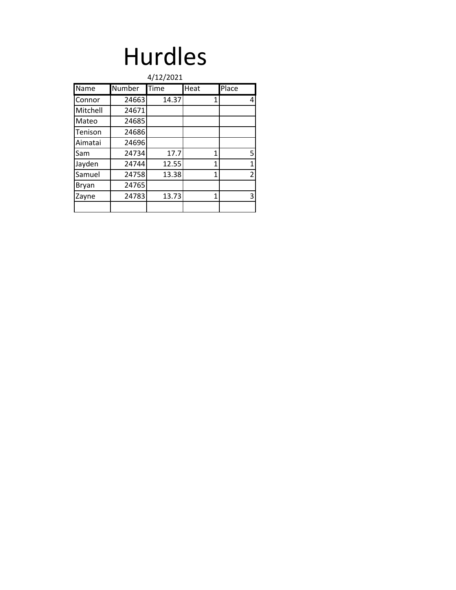## Hurdles

|          |               | 4/12/2021 |      |                |
|----------|---------------|-----------|------|----------------|
| Name     | <b>Number</b> | Time      | Heat | Place          |
| Connor   | 24663         | 14.37     | 1    | 4              |
| Mitchell | 24671         |           |      |                |
| Mateo    | 24685         |           |      |                |
| Tenison  | 24686         |           |      |                |
| Aimatai  | 24696         |           |      |                |
| Sam      | 24734         | 17.7      | 1    | 5              |
| Jayden   | 24744         | 12.55     | 1    | $\mathbf{1}$   |
| Samuel   | 24758         | 13.38     | 1    | $\overline{2}$ |
| Bryan    | 24765         |           |      |                |
| Zayne    | 24783         | 13.73     | 1    | 3              |
|          |               |           |      |                |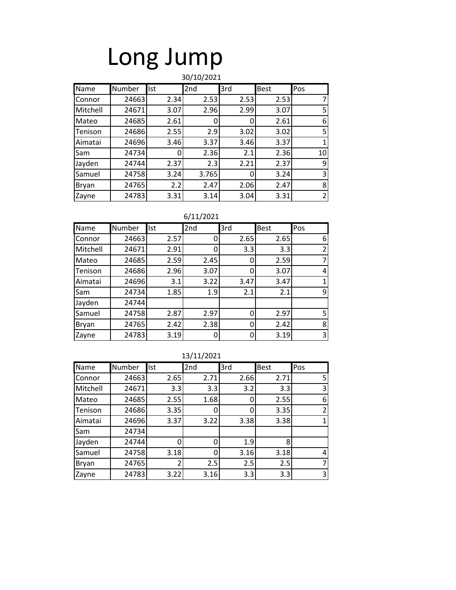## Long Jump

#### Name Number Ist 2nd 3rd Best Pos Connor | 24663 | 2.34 | 2.53 | 2.53 | 7 Mitchell 24671 3.07 2.96 2.99 3.07 5 Mateo | 24685 | 2.61 | 0 | 0 | 2.61 | 6 Tenison | 24686 | 2.55 | 2.9 | 3.02 | 3.02 | 5 Aimatai | 24696 | 3.46 | 3.37 | 3.46 | 3.37 | 1 Sam | 24734| 0| 2.36| 2.1| 2.36| 10 Jayden 24744 2.37 2.3 2.21 2.37 9 Samuel | 24758 | 3.24 | 3.765 | 0 3.24 | 3 Bryan | 24765| 2.2| 2.47| 2.06| 2.47| 8 Zayne | 24783| 3.31| 3.14| 3.04| 3.31| 2 30/10/2021

#### 6/11/2021

| Name     | Number | <b>Ist</b> | 2nd  | 3rd  | <b>Best</b> | Pos |
|----------|--------|------------|------|------|-------------|-----|
| Connor   | 24663  | 2.57       | 0    | 2.65 | 2.65        | 6   |
| Mitchell | 24671  | 2.91       |      | 3.3  | 3.3         |     |
| Mateo    | 24685  | 2.59       | 2.45 | 0    | 2.59        |     |
| Tenison  | 24686  | 2.96       | 3.07 | 0    | 3.07        |     |
| Aimatai  | 24696  | 3.1        | 3.22 | 3.47 | 3.47        |     |
| Sam      | 24734  | 1.85       | 1.9  | 2.1  | 2.1         | 9   |
| Jayden   | 24744  |            |      |      |             |     |
| Samuel   | 24758  | 2.87       | 2.97 | 0    | 2.97        | 5   |
| Bryan    | 24765  | 2.42       | 2.38 | 0    | 2.42        | 8   |
| Zayne    | 24783  | 3.19       |      | 0    | 3.19        | 3   |

| Name     | Number | Ist  | 2nd  | 3rd  | <b>Best</b> | Pos |
|----------|--------|------|------|------|-------------|-----|
| Connor   | 24663  | 2.65 | 2.71 | 2.66 | 2.71        | 5   |
| Mitchell | 24671  | 3.3  | 3.3  | 3.2  | 3.3         | 3   |
| Mateo    | 24685  | 2.55 | 1.68 | 0    | 2.55        | 6   |
| Tenison  | 24686  | 3.35 |      | 0    | 3.35        | 2   |
| Aimatai  | 24696  | 3.37 | 3.22 | 3.38 | 3.38        | 1   |
| Sam      | 24734  |      |      |      |             |     |
| Jayden   | 24744  |      |      | 1.9  | 8           |     |
| Samuel   | 24758  | 3.18 | 0    | 3.16 | 3.18        | 4   |
| Bryan    | 24765  |      | 2.5  | 2.5  | 2.5         | 7   |
| Zayne    | 24783  | 3.22 | 3.16 | 3.3  | 3.3         | 3   |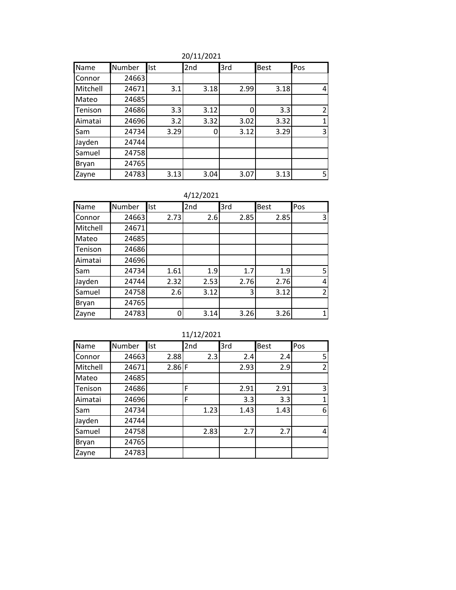20/11/2021

| Name     | Number | <b>Ist</b> | 2nd  | 3rd  | <b>Best</b> | Pos            |
|----------|--------|------------|------|------|-------------|----------------|
| Connor   | 24663  |            |      |      |             |                |
| Mitchell | 24671  | 3.1        | 3.18 | 2.99 | 3.18        | 4              |
| Mateo    | 24685  |            |      |      |             |                |
| Tenison  | 24686  | 3.3        | 3.12 | 0    | 3.3         | $\overline{2}$ |
| Aimatai  | 24696  | 3.2        | 3.32 | 3.02 | 3.32        | 1              |
| Sam      | 24734  | 3.29       | 0    | 3.12 | 3.29        | 3              |
| Jayden   | 24744  |            |      |      |             |                |
| Samuel   | 24758  |            |      |      |             |                |
| Bryan    | 24765  |            |      |      |             |                |
| Zayne    | 24783  | 3.13       | 3.04 | 3.07 | 3.13        | 5              |

4/12/2021

| Name     | Number | Ist  | 2nd  | 3rd  | <b>Best</b> | Pos |
|----------|--------|------|------|------|-------------|-----|
| Connor   | 24663  | 2.73 | 2.6  | 2.85 | 2.85        | 3   |
| Mitchell | 24671  |      |      |      |             |     |
| Mateo    | 24685  |      |      |      |             |     |
| Tenison  | 24686  |      |      |      |             |     |
| Aimatai  | 24696  |      |      |      |             |     |
| Sam      | 24734  | 1.61 | 1.9  | 1.7  | 1.9         | 5   |
| Jayden   | 24744  | 2.32 | 2.53 | 2.76 | 2.76        | 4   |
| Samuel   | 24758  | 2.6  | 3.12 | 3    | 3.12        | 2   |
| Bryan    | 24765  |      |      |      |             |     |
| Zayne    | 24783  |      | 3.14 | 3.26 | 3.26        |     |

| Name     | Number | Ist      | 2nd  | 3rd  | <b>Best</b> | Pos            |
|----------|--------|----------|------|------|-------------|----------------|
| Connor   | 24663  | 2.88     | 2.3  | 2.4  | 2.4         | 5              |
| Mitchell | 24671  | $2.86$ F |      | 2.93 | 2.9         | $\overline{2}$ |
| Mateo    | 24685  |          |      |      |             |                |
| Tenison  | 24686  |          | F    | 2.91 | 2.91        | 3              |
| Aimatai  | 24696  |          | F    | 3.3  | 3.3         | 1              |
| Sam      | 24734  |          | 1.23 | 1.43 | 1.43        | 6              |
| Jayden   | 24744  |          |      |      |             |                |
| Samuel   | 24758  |          | 2.83 | 2.7  | 2.7         | 4              |
| Bryan    | 24765  |          |      |      |             |                |
| Zayne    | 24783  |          |      |      |             |                |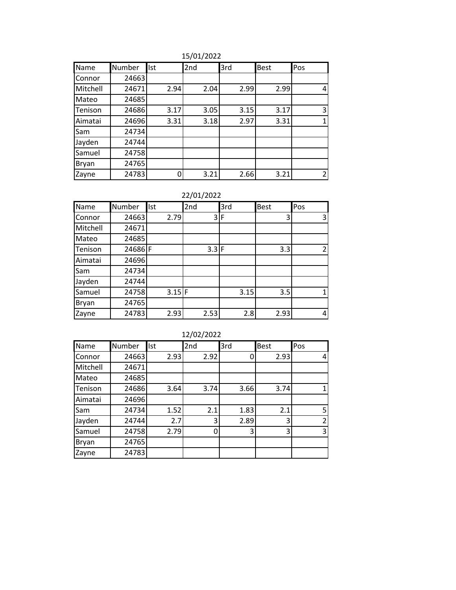| 15/01/2022 |  |
|------------|--|
|------------|--|

| Name     | Number | Ist  | 2nd  | 3rd  | <b>Best</b> | Pos |
|----------|--------|------|------|------|-------------|-----|
| Connor   | 24663  |      |      |      |             |     |
| Mitchell | 24671  | 2.94 | 2.04 | 2.99 | 2.99        | 4   |
| Mateo    | 24685  |      |      |      |             |     |
| Tenison  | 24686  | 3.17 | 3.05 | 3.15 | 3.17        | 3   |
| Aimatai  | 24696  | 3.31 | 3.18 | 2.97 | 3.31        | 1   |
| Sam      | 24734  |      |      |      |             |     |
| Jayden   | 24744  |      |      |      |             |     |
| Samuel   | 24758  |      |      |      |             |     |
| Bryan    | 24765  |      |      |      |             |     |
| Zayne    | 24783  |      | 3.21 | 2.66 | 3.21        | 2   |

22/01/2022

| Name     | Number | Ist  | 2nd     | 3rd  | <b>Best</b> | Pos |
|----------|--------|------|---------|------|-------------|-----|
| Connor   | 24663  | 2.79 | 31      | F    | 3           | 3   |
| Mitchell | 24671  |      |         |      |             |     |
| Mateo    | 24685  |      |         |      |             |     |
| Tenison  | 24686F |      | $3.3$ F |      | 3.3         |     |
| Aimatai  | 24696  |      |         |      |             |     |
| Sam      | 24734  |      |         |      |             |     |
| Jayden   | 24744  |      |         |      |             |     |
| Samuel   | 24758  | 3.15 | ıF      | 3.15 | 3.5         |     |
| Bryan    | 24765  |      |         |      |             |     |
| Zayne    | 24783  | 2.93 | 2.53    | 2.8  | 2.93        | 4   |

|          | 12/02/2022 |      |      |      |             |                |  |  |
|----------|------------|------|------|------|-------------|----------------|--|--|
| Name     | Number     | Ist  | 2nd  | 3rd  | <b>Best</b> | Pos            |  |  |
| Connor   | 24663      | 2.93 | 2.92 | C    | 2.93        | 4              |  |  |
| Mitchell | 24671      |      |      |      |             |                |  |  |
| Mateo    | 24685      |      |      |      |             |                |  |  |
| Tenison  | 24686      | 3.64 | 3.74 | 3.66 | 3.74        | $\mathbf{1}$   |  |  |
| Aimatai  | 24696      |      |      |      |             |                |  |  |
| Sam      | 24734      | 1.52 | 2.1  | 1.83 | 2.1         | 5              |  |  |
| Jayden   | 24744      | 2.7  | 3    | 2.89 | 3           | $\overline{2}$ |  |  |
| Samuel   | 24758      | 2.79 | 0    | 3    | 3           | 3              |  |  |
| Bryan    | 24765      |      |      |      |             |                |  |  |
| Zayne    | 24783      |      |      |      |             |                |  |  |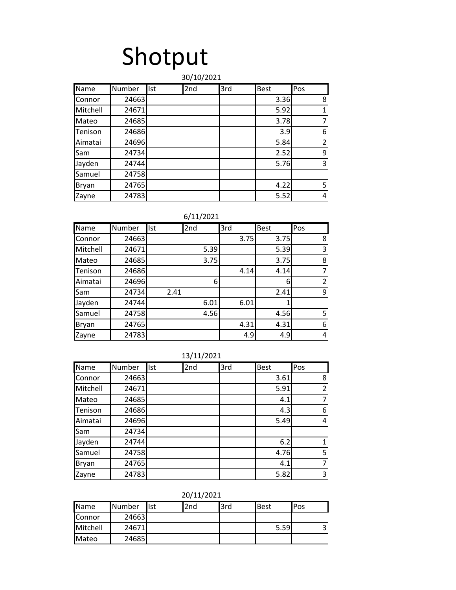## Shotput

#### Name Number Ist 2nd 3rd Best Pos Connor 24663 (2008) (24663 (2011) (24663 (2012) (2012) (2013) (2014) (2014) (2014) (2014) (2014) (20 Mitchell | 24671 | | | | 5.92 | 1 Mateo 24685 | | | | 3.78 | 7 Tenison | 24686 | | | | | | | 3.9 | 6 Aimatai | 24696 | | | | 5.84 | 2 Sam 24734 2.52 9 Jayden | 24744 | | | | | 5.76 | 3 Samuel 24758 Bryan | 24765 | | | | | 4.22 | 5 Zayne | 24783 | | | | 5.52 | 4 30/10/2021

| Name     | Number | <b>Ist</b> | 2nd  | 3rd  | <b>Best</b> | Pos                      |
|----------|--------|------------|------|------|-------------|--------------------------|
| Connor   | 24663  |            |      | 3.75 | 3.75        | 8                        |
| Mitchell | 24671  |            | 5.39 |      | 5.39        | 3                        |
| Mateo    | 24685  |            | 3.75 |      | 3.75        | 8                        |
| Tenison  | 24686  |            |      | 4.14 | 4.14        |                          |
| Aimatai  | 24696  |            | 6    |      | 6           | $\overline{\phantom{a}}$ |
| Sam      | 24734  | 2.41       |      |      | 2.41        | 9                        |
| Jayden   | 24744  |            | 6.01 | 6.01 |             |                          |
| Samuel   | 24758  |            | 4.56 |      | 4.56        | 5                        |
| Bryan    | 24765  |            |      | 4.31 | 4.31        | 6                        |
| Zayne    | 24783  |            |      | 4.9  | 4.9         | 4                        |

|  |  |  |  |  | 13/11/2021 |
|--|--|--|--|--|------------|
|--|--|--|--|--|------------|

| Name     | Number | Ist | 2nd | 3rd | <b>Best</b> | Pos            |
|----------|--------|-----|-----|-----|-------------|----------------|
| Connor   | 24663  |     |     |     | 3.61        | 8              |
| Mitchell | 24671  |     |     |     | 5.91        | $\overline{2}$ |
| Mateo    | 24685  |     |     |     | 4.1         | 7              |
| Tenison  | 24686  |     |     |     | 4.3         | 6              |
| Aimatai  | 24696  |     |     |     | 5.49        | $\overline{4}$ |
| Sam      | 24734  |     |     |     |             |                |
| Jayden   | 24744  |     |     |     | 6.2         | $\mathbf{1}$   |
| Samuel   | 24758  |     |     |     | 4.76        | 5 <sup>1</sup> |
| Bryan    | 24765  |     |     |     | 4.1         | $\overline{7}$ |
| Zayne    | 24783  |     |     |     | 5.82        | $\overline{3}$ |

20/11/2021

| <b>Name</b>   | Number | llst | 2nd | l3rd | <b>Best</b> | <b>IPos</b> |
|---------------|--------|------|-----|------|-------------|-------------|
| <b>Connor</b> | 24663  |      |     |      |             |             |
| Mitchell      | 24671  |      |     |      | 5.59        |             |
| Mateo         | 24685  |      |     |      |             |             |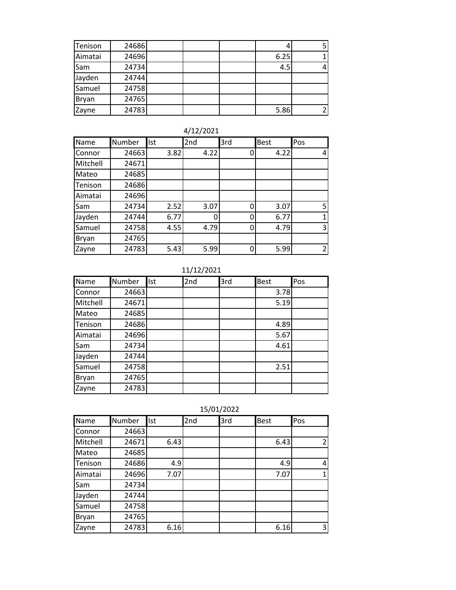| Tenison | 24686 |  |      |  |
|---------|-------|--|------|--|
| Aimatai | 24696 |  | 6.25 |  |
| Sam     | 24734 |  | 4.5  |  |
| Jayden  | 24744 |  |      |  |
| Samuel  | 24758 |  |      |  |
| Bryan   | 24765 |  |      |  |
| Zayne   | 24783 |  | 5.86 |  |

| 4/12/2021 |
|-----------|
|-----------|

| Name     | Number | Ist  | 2nd  | 3rd | <b>Best</b> | Pos            |
|----------|--------|------|------|-----|-------------|----------------|
| Connor   | 24663  | 3.82 | 4.22 | 0   | 4.22        | 4              |
| Mitchell | 24671  |      |      |     |             |                |
| Mateo    | 24685  |      |      |     |             |                |
| Tenison  | 24686  |      |      |     |             |                |
| Aimatai  | 24696  |      |      |     |             |                |
| Sam      | 24734  | 2.52 | 3.07 | 0   | 3.07        | 5              |
| Jayden   | 24744  | 6.77 | o    | 0   | 6.77        |                |
| Samuel   | 24758  | 4.55 | 4.79 | 0   | 4.79        | 3              |
| Bryan    | 24765  |      |      |     |             |                |
| Zayne    | 24783  | 5.43 | 5.99 | 0   | 5.99        | $\overline{2}$ |

11/12/2021

| Name     | Number | Ist | 2nd | 3rd | <b>Best</b> | Pos |
|----------|--------|-----|-----|-----|-------------|-----|
| Connor   | 24663  |     |     |     | 3.78        |     |
| Mitchell | 24671  |     |     |     | 5.19        |     |
| Mateo    | 24685  |     |     |     |             |     |
| Tenison  | 24686  |     |     |     | 4.89        |     |
| Aimatai  | 24696  |     |     |     | 5.67        |     |
| Sam      | 24734  |     |     |     | 4.61        |     |
| Jayden   | 24744  |     |     |     |             |     |
| Samuel   | 24758  |     |     |     | 2.51        |     |
| Bryan    | 24765  |     |     |     |             |     |
| Zayne    | 24783  |     |     |     |             |     |

| 15/01/2022 |  |
|------------|--|

| Name     | Number | Ist  | 2nd | 3rd | <b>Best</b> | Pos            |
|----------|--------|------|-----|-----|-------------|----------------|
| Connor   | 24663  |      |     |     |             |                |
| Mitchell | 24671  | 6.43 |     |     | 6.43        | $\overline{2}$ |
| Mateo    | 24685  |      |     |     |             |                |
| Tenison  | 24686  | 4.9  |     |     | 4.9         | 4              |
| Aimatai  | 24696  | 7.07 |     |     | 7.07        | $\mathbf 1$    |
| Sam      | 24734  |      |     |     |             |                |
| Jayden   | 24744  |      |     |     |             |                |
| Samuel   | 24758  |      |     |     |             |                |
| Bryan    | 24765  |      |     |     |             |                |
| Zayne    | 24783  | 6.16 |     |     | 6.16        | 3              |